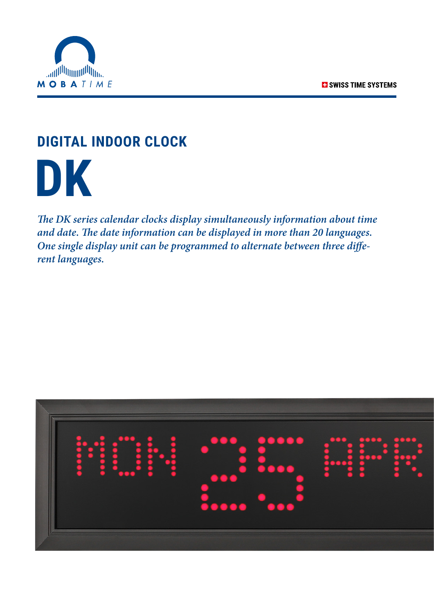

### **DIGITAL INDOOR CLOCK**

 **DK**

*The DK series calendar clocks display simultaneously information about time and date. The date information can be displayed in more than 20 languages. One single display unit can be programmed to alternate between three different languages.*

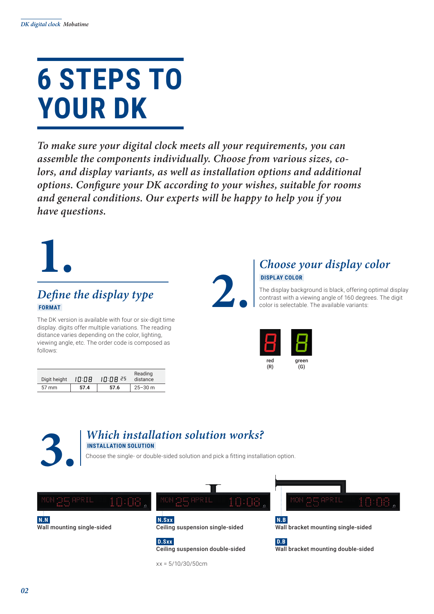## **6 STEPS TO YOUR DK**

*To make sure your digital clock meets all your requirements, you can assemble the components individually. Choose from various sizes, co*lors, and display variants, as well as installation options and additional *options. Configure your DK according to your wishes, suitable for rooms and general conditions. Our experts will be happy to help you if you have questions.*

# **1.**

### *Define the display type*  **FORMAT**

The DK version is available with four or six-digit time display. digits offer multiple variations. The reading distance varies depending on the color, lighting, viewing angle, etc. The order code is composed as follows:

| Digit height    | 10:08 | 10:08 25 | Reading<br>distance |
|-----------------|-------|----------|---------------------|
| $57 \text{ mm}$ | 57.4  | 57.6     | $25 - 30$ m         |

**2.**

### *Choose your display color*  **DISPLAY COLOR**

The display background is black, offering optimal display contrast with a viewing angle of 160 degrees. The digit color is selectable. The available variants:





xx = 5/10/30/50cm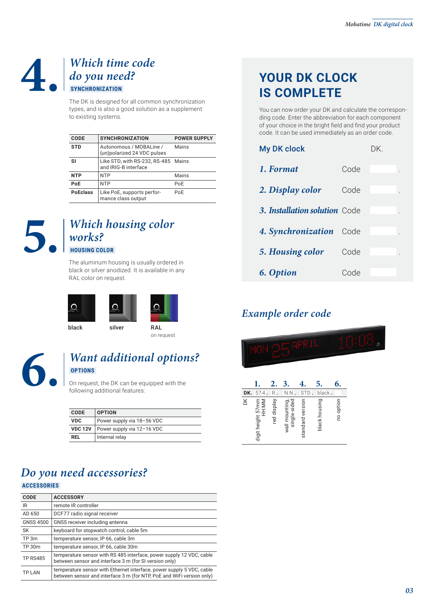### **4.** *Which time code do you need?*  **SYNCHRONIZATION**

The DK is designed for all common synchronization types, and is also a good solution as a supplement to existing systems.

| CODE            | <b>SYNCHRONIZATION</b>                                      | <b>POWER SUPPLY</b> |
|-----------------|-------------------------------------------------------------|---------------------|
| <b>STD</b>      | Autonomous / MOBALine /<br>(un)polarized 24 VDC pulses      | Mains               |
| SI              | Like STD, with RS-232, RS-485 Mains<br>and IRIG-B interface |                     |
| <b>NTP</b>      | <b>NTP</b>                                                  | Mains               |
| PoE             | <b>NTP</b>                                                  | PoE                 |
| <b>PoEclass</b> | Like PoE, supports perfor-<br>mance class output            | PoE                 |



### **5.** *Which housing color works?*  **HOUSING COLOR**

The aluminum housing is usually ordered in black or silver anodized. It is available in any

RAL color on request.



on request

### **6.** *Want additional options?*  **OPTIONS**

On request, the DK can be equipped with the following additional features:

| <b>CODE</b>    | <b>OPTION</b>              |
|----------------|----------------------------|
| <b>VDC</b>     | Power supply via 18-56 VDC |
| <b>VDC 12V</b> | Power supply via 12-16 VDC |
| RFL            | Internal relay             |

### *Do you need accessories?*

 **ACCESSORIES** 

| <b>CODE</b>     | <b>ACCESSORY</b>                                                                                                                               |
|-----------------|------------------------------------------------------------------------------------------------------------------------------------------------|
| IR              | remote IR controller                                                                                                                           |
| AD 650          | DCF77 radio signal receiver                                                                                                                    |
| GNSS 4500       | GNSS receiver including antenna                                                                                                                |
| <b>SK</b>       | keyboard for stopwatch control, cable 5m                                                                                                       |
| TP 3m           | temperature sensor, IP 66, cable 3m                                                                                                            |
| TP 30m          | temperature sensor, IP 66, cable 30m                                                                                                           |
| <b>TP RS485</b> | temperature sensor with RS 485 interface, power supply 12 VDC, cable<br>between sensor and interface 3 m (for SI version only)                 |
| <b>TPIAN</b>    | temperature sensor with Ethernet interface, power supply 5 VDC, cable<br>between sensor and interface 3 m (for NTP, PoE and WiFi version only) |

### **YOUR DK CLOCK IS COMPLETE**

You can now order your DK and calculate the corresponding code. Enter the abbreviation for each component of your choice in the bright field and find your product code. It can be used immediately as an order code.

| <b>My DK clock</b>            |      | DK. |  |
|-------------------------------|------|-----|--|
| 1. Format                     | Code |     |  |
| 2. Display color              | Code |     |  |
| 3. Installation solution Code |      |     |  |
| 4. Synchronization            | Code |     |  |
| 5. Housing color              | Code |     |  |
| 6. Option                     | Code |     |  |

### *Example order code*